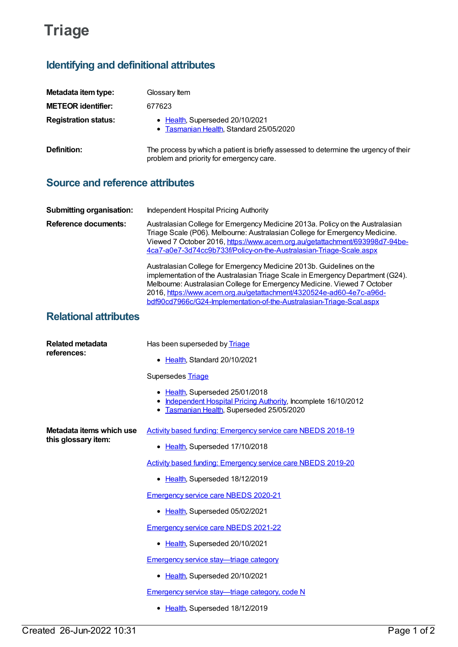## **Triage**

## **Identifying and definitional attributes**

| Metadata item type:         | Glossary Item                                                                                                                    |
|-----------------------------|----------------------------------------------------------------------------------------------------------------------------------|
| <b>METEOR identifier:</b>   | 677623                                                                                                                           |
| <b>Registration status:</b> | • Health, Superseded 20/10/2021<br>• Tasmanian Health, Standard 25/05/2020                                                       |
| Definition:                 | The process by which a patient is briefly assessed to determine the urgency of their<br>problem and priority for emergency care. |

## **Source and reference attributes**

| <b>Submitting organisation:</b> | Independent Hospital Pricing Authority                                                                                                                                                                                                                                                                                                                                             |
|---------------------------------|------------------------------------------------------------------------------------------------------------------------------------------------------------------------------------------------------------------------------------------------------------------------------------------------------------------------------------------------------------------------------------|
| Reference documents:            | Australasian College for Emergency Medicine 2013a. Policy on the Australasian<br>Triage Scale (P06). Melbourne: Australasian College for Emergency Medicine.<br>Viewed 7 October 2016, https://www.acem.org.au/getattachment/693998d7-94be-<br>4ca7-a0e7-3d74cc9b733f/Policy-on-the-Australasian-Triage-Scale.aspx                                                                 |
|                                 | Australasian College for Emergency Medicine 2013b. Guidelines on the<br>implementation of the Australasian Triage Scale in Emergency Department (G24).<br>Melbourne: Australasian College for Emergency Medicine. Viewed 7 October<br>2016, https://www.acem.org.au/getattachment/4320524e-ad60-4e7c-a96d-<br>bdf90cd7966c/G24-Implementation-of-the-Australasian-Triage-Scal.aspx |

## **Relational attributes**

| <b>Related metadata</b><br>references:          | Has been superseded by Triage                                                                                                                   |
|-------------------------------------------------|-------------------------------------------------------------------------------------------------------------------------------------------------|
|                                                 | • Health, Standard 20/10/2021                                                                                                                   |
|                                                 | Supersedes Triage                                                                                                                               |
|                                                 | • Health, Superseded 25/01/2018<br>• Independent Hospital Pricing Authority, Incomplete 16/10/2012<br>• Tasmanian Health, Superseded 25/05/2020 |
| Metadata items which use<br>this glossary item: | Activity based funding: Emergency service care NBEDS 2018-19                                                                                    |
|                                                 | • Health, Superseded 17/10/2018                                                                                                                 |
|                                                 | <b>Activity based funding: Emergency service care NBEDS 2019-20</b>                                                                             |
|                                                 | • Health, Superseded 18/12/2019                                                                                                                 |
|                                                 | <b>Emergency service care NBEDS 2020-21</b>                                                                                                     |
|                                                 | • Health, Superseded 05/02/2021                                                                                                                 |
|                                                 | <b>Emergency service care NBEDS 2021-22</b>                                                                                                     |
|                                                 | • Health, Superseded 20/10/2021                                                                                                                 |
|                                                 | <b>Emergency service stay—triage category</b>                                                                                                   |
|                                                 | Health, Superseded 20/10/2021                                                                                                                   |
|                                                 | <b>Emergency service stay—triage category, code N</b>                                                                                           |
|                                                 | • Health, Superseded 18/12/2019                                                                                                                 |